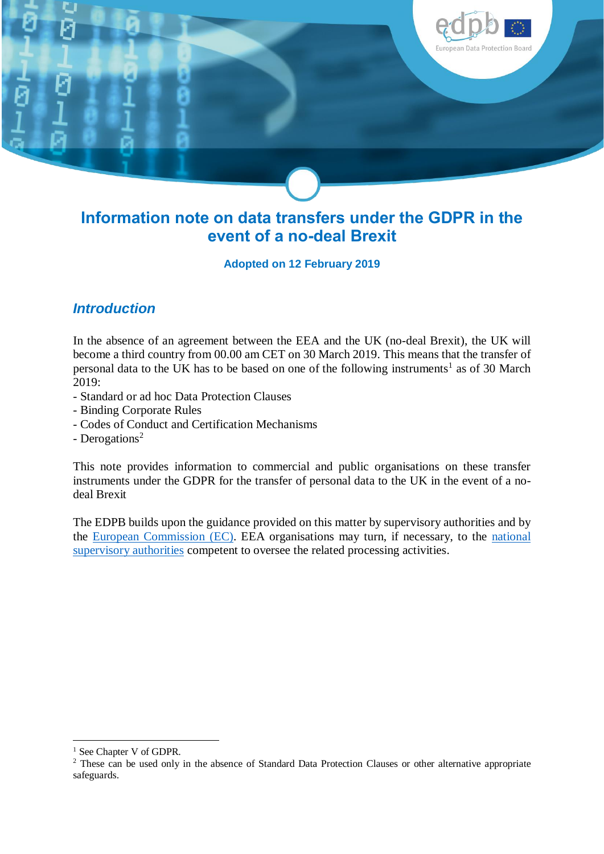

# **Information note on data transfers under the GDPR in the event of a no-deal Brexit**

**Adopted on 12 February 2019**

#### *Introduction*

In the absence of an agreement between the EEA and the UK (no-deal Brexit), the UK will become a third country from 00.00 am CET on 30 March 2019. This means that the transfer of personal data to the UK has to be based on one of the following instruments<sup>1</sup> as of 30 March 2019:

- Standard or ad hoc Data Protection Clauses
- Binding Corporate Rules
- Codes of Conduct and Certification Mechanisms
- Derogations<sup>2</sup>

This note provides information to commercial and public organisations on these transfer instruments under the GDPR for the transfer of personal data to the UK in the event of a nodeal Brexit

The EDPB builds upon the guidance provided on this matter by supervisory authorities and by the [European Commission](https://ec.europa.eu/info/sites/info/files/file_import/data_protection_en.pdf) (EC). EEA organisations may turn, if necessary, to the [national](https://edpb.europa.eu/about-edpb/board/members_en)  [supervisory authorities](https://edpb.europa.eu/about-edpb/board/members_en) competent to oversee the related processing activities.

1

<sup>&</sup>lt;sup>1</sup> See Chapter V of GDPR.

<sup>&</sup>lt;sup>2</sup> These can be used only in the absence of Standard Data Protection Clauses or other alternative appropriate safeguards.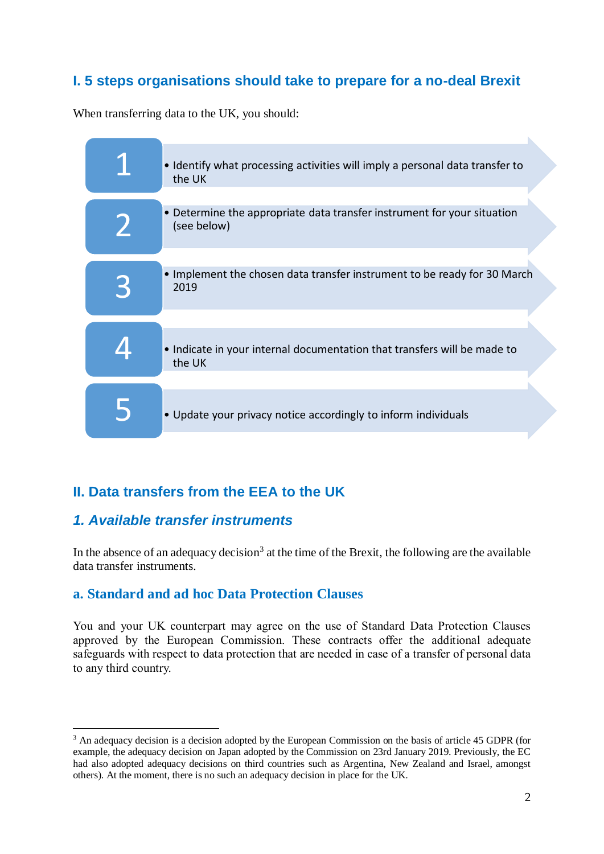### **I. 5 steps organisations should take to prepare for a no-deal Brexit**

When transferring data to the UK, you should:



## **II. Data transfers from the EEA to the UK**

#### *1. Available transfer instruments*

<u>.</u>

In the absence of an adequacy decision<sup>3</sup> at the time of the Brexit, the following are the available data transfer instruments.

#### **a. Standard and ad hoc Data Protection Clauses**

You and your UK counterpart may agree on the use of Standard Data Protection Clauses approved by the European Commission. These contracts offer the additional adequate safeguards with respect to data protection that are needed in case of a transfer of personal data to any third country.

<sup>3</sup> An adequacy decision is a decision adopted by the European Commission on the basis of article 45 GDPR (for example, the adequacy decision on Japan adopted by the Commission on 23rd January 2019. Previously, the EC had also adopted adequacy decisions on third countries such as Argentina, New Zealand and Israel, amongst others). At the moment, there is no such an adequacy decision in place for the UK.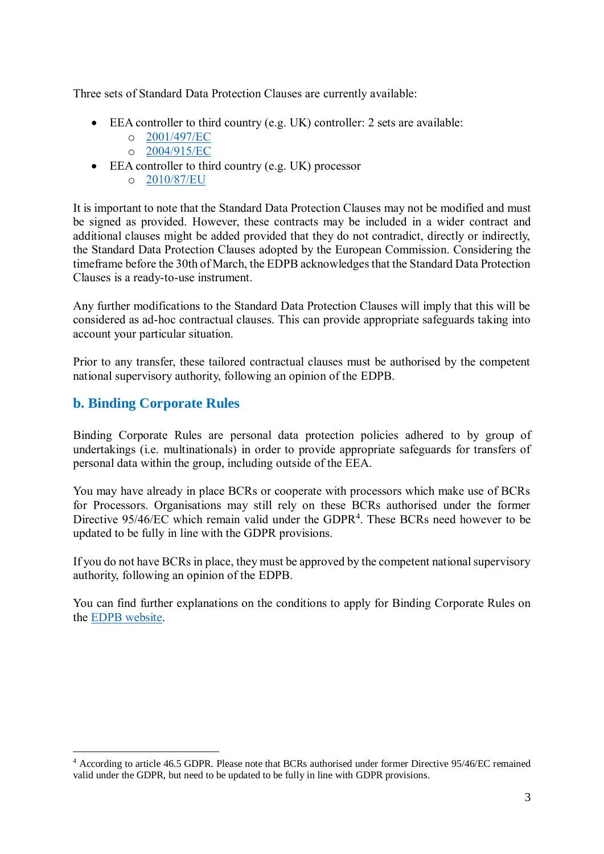Three sets of Standard Data Protection Clauses are currently available:

- EEA controller to third country (e.g. UK) controller: 2 sets are available:
	- o [2001/497/EC](https://eur-lex.europa.eu/legal-content/en/ALL/?uri=CELEX:32001D0497)
	- o [2004/915/EC](https://eur-lex.europa.eu/legal-content/EN/TXT/?uri=CELEX%3A32004D0915)
- EEA controller to third country (e.g. UK) processor
	- o [2010/87/EU](https://eur-lex.europa.eu/legal-content/en/TXT/?uri=CELEX%3A32010D0087)

It is important to note that the Standard Data Protection Clauses may not be modified and must be signed as provided. However, these contracts may be included in a wider contract and additional clauses might be added provided that they do not contradict, directly or indirectly, the Standard Data Protection Clauses adopted by the European Commission. Considering the timeframe before the 30th of March, the EDPB acknowledges that the Standard Data Protection Clauses is a ready-to-use instrument.

Any further modifications to the Standard Data Protection Clauses will imply that this will be considered as ad-hoc contractual clauses. This can provide appropriate safeguards taking into account your particular situation.

Prior to any transfer, these tailored contractual clauses must be authorised by the competent national supervisory authority, following an opinion of the EDPB.

#### **b. Binding Corporate Rules**

1

Binding Corporate Rules are personal data protection policies adhered to by group of undertakings (i.e. multinationals) in order to provide appropriate safeguards for transfers of personal data within the group, including outside of the EEA.

You may have already in place BCRs or cooperate with processors which make use of BCRs for Processors. Organisations may still rely on these BCRs authorised under the former Directive 95/46/EC which remain valid under the GDPR<sup>4</sup>. These BCRs need however to be updated to be fully in line with the GDPR provisions.

If you do not have BCRs in place, they must be approved by the competent national supervisory authority, following an opinion of the EDPB.

You can find further explanations on the conditions to apply for Binding Corporate Rules on the [EDPB website.](https://edpb.europa.eu/our-work-tools/general-guidance/gdpr-guidelines-recommendations-best-practices_en)

<sup>4</sup> According to article 46.5 GDPR. Please note that BCRs authorised under former Directive 95/46/EC remained valid under the GDPR, but need to be updated to be fully in line with GDPR provisions.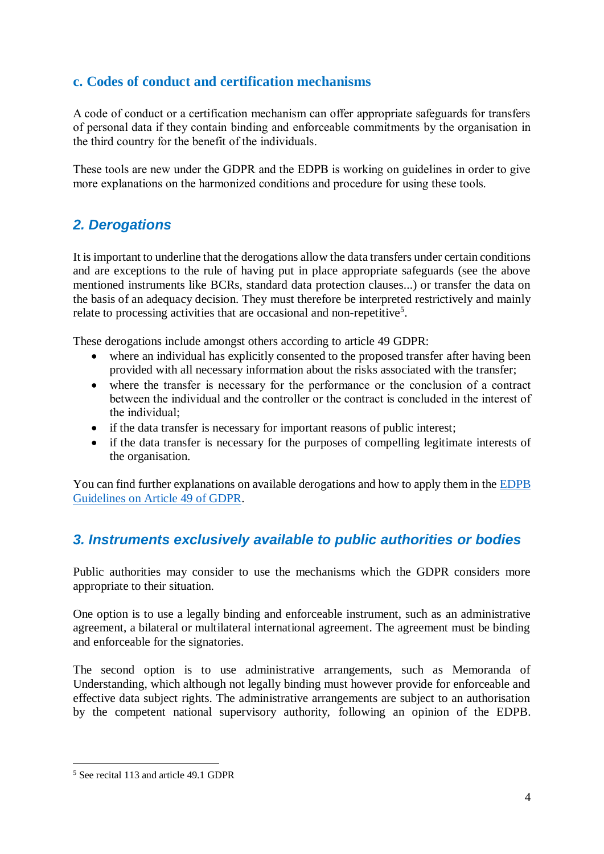#### **c. Codes of conduct and certification mechanisms**

A code of conduct or a certification mechanism can offer appropriate safeguards for transfers of personal data if they contain binding and enforceable commitments by the organisation in the third country for the benefit of the individuals.

These tools are new under the GDPR and the EDPB is working on guidelines in order to give more explanations on the harmonized conditions and procedure for using these tools.

## *2. Derogations*

It is important to underline that the derogations allow the data transfers under certain conditions and are exceptions to the rule of having put in place appropriate safeguards (see the above mentioned instruments like BCRs, standard data protection clauses...) or transfer the data on the basis of an adequacy decision. They must therefore be interpreted restrictively and mainly relate to processing activities that are occasional and non-repetitive<sup>5</sup>.

These derogations include amongst others according to article 49 GDPR:

- where an individual has explicitly consented to the proposed transfer after having been provided with all necessary information about the risks associated with the transfer;
- where the transfer is necessary for the performance or the conclusion of a contract between the individual and the controller or the contract is concluded in the interest of the individual;
- if the data transfer is necessary for important reasons of public interest;
- if the data transfer is necessary for the purposes of compelling legitimate interests of the organisation.

You can find further explanations on available derogations and how to apply them in the [EDPB](https://edpb.europa.eu/our-work-tools/our-documents/guidelines/guidelines-22018-derogations-article-49-under-regulation_en)  [Guidelines on Article 49 of GDPR.](https://edpb.europa.eu/our-work-tools/our-documents/guidelines/guidelines-22018-derogations-article-49-under-regulation_en)

### *3. Instruments exclusively available to public authorities or bodies*

Public authorities may consider to use the mechanisms which the GDPR considers more appropriate to their situation.

One option is to use a legally binding and enforceable instrument, such as an administrative agreement, a bilateral or multilateral international agreement. The agreement must be binding and enforceable for the signatories.

The second option is to use administrative arrangements, such as Memoranda of Understanding, which although not legally binding must however provide for enforceable and effective data subject rights. The administrative arrangements are subject to an authorisation by the competent national supervisory authority, following an opinion of the EDPB.

<u>.</u>

<sup>5</sup> See recital 113 and article 49.1 GDPR